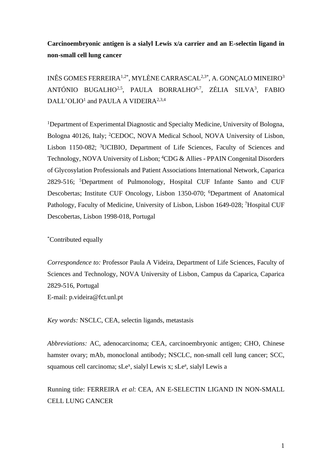# **Carcinoembryonic antigen is a sialyl Lewis x/a carrier and an E-selectin ligand in non-small cell lung cancer**

INÊS GOMES FERREIRA1,2\*, MYLÈNE CARRASCAL2,3\*, A. GONÇALO MINEIRO<sup>3</sup> ANTÓNIO BUGALHO<sup>2,5</sup>, PAULA BORRALHO<sup>6,7</sup>, ZÉLIA SILVA<sup>3</sup>, FABIO DALL'OLIO<sup>1</sup> and PAULA A VIDEIRA<sup>2,3,4</sup>

<sup>1</sup>Department of Experimental Diagnostic and Specialty Medicine, University of Bologna, Bologna 40126, Italy; <sup>2</sup>CEDOC, NOVA Medical School, NOVA University of Lisbon, Lisbon 1150-082; <sup>3</sup>UCIBIO, Department of Life Sciences, Faculty of Sciences and Technology, NOVA University of Lisbon; <sup>4</sup>CDG & Allies - PPAIN Congenital Disorders of Glycosylation Professionals and Patient Associations International Network, Caparica 2829-516; <sup>5</sup>Department of Pulmonology, Hospital CUF Infante Santo and CUF Descobertas; Institute CUF Oncology, Lisbon 1350-070; <sup>6</sup>Department of Anatomical Pathology, Faculty of Medicine, University of Lisbon, Lisbon 1649-028; <sup>7</sup>Hospital CUF Descobertas, Lisbon 1998-018, Portugal

\*Contributed equally

*Correspondence to:* Professor Paula A Videira, Department of Life Sciences, Faculty of Sciences and Technology, NOVA University of Lisbon, Campus da Caparica, Caparica 2829-516, Portugal E-mail: p.videira@fct.unl.pt

*Key words:* NSCLC, CEA, selectin ligands, metastasis

*Abbreviations:* AC, adenocarcinoma; CEA, carcinoembryonic antigen; CHO, Chinese hamster ovary; mAb, monoclonal antibody; NSCLC, non-small cell lung cancer; SCC, squamous cell carcinoma; sLe<sup>x</sup>, sialyl Lewis x; sLe<sup>a</sup>, sialyl Lewis a

Running title: FERREIRA *et al*: CEA, AN E-SELECTIN LIGAND IN NON-SMALL CELL LUNG CANCER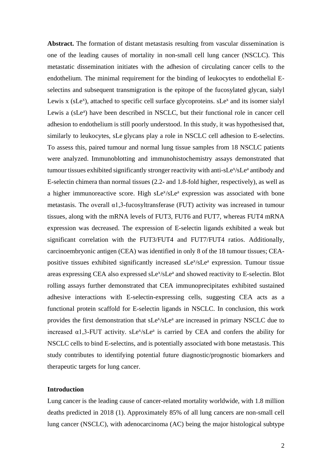**Abstract.** The formation of distant metastasis resulting from vascular dissemination is one of the leading causes of mortality in non-small cell lung cancer (NSCLC). This metastatic dissemination initiates with the adhesion of circulating cancer cells to the endothelium. The minimal requirement for the binding of leukocytes to endothelial Eselectins and subsequent transmigration is the epitope of the fucosylated glycan, sialyl Lewis  $x$  (sLe<sup>x</sup>), attached to specific cell surface glycoproteins. sLe<sup>x</sup> and its isomer sialyl Lewis a (sLe<sup>a</sup>) have been described in NSCLC, but their functional role in cancer cell adhesion to endothelium is still poorly understood. In this study, it was hypothesised that, similarly to leukocytes, sLe glycans play a role in NSCLC cell adhesion to E-selectins. To assess this, paired tumour and normal lung tissue samples from 18 NSCLC patients were analyzed. Immunoblotting and immunohistochemistry assays demonstrated that tumour tissues exhibited significantly stronger reactivity with anti-sLe<sup>x</sup>/sLe<sup>a</sup> antibody and E-selectin chimera than normal tissues (2.2- and 1.8-fold higher, respectively), as well as a higher immunoreactive score. High sLe<sup>x</sup>/sLe<sup>a</sup> expression was associated with bone metastasis. The overall  $\alpha$ 1,3-fucosyltransferase (FUT) activity was increased in tumour tissues, along with the mRNA levels of FUT3, FUT6 and FUT7, whereas FUT4 mRNA expression was decreased. The expression of E-selectin ligands exhibited a weak but significant correlation with the FUT3/FUT4 and FUT7/FUT4 ratios. Additionally, carcinoembryonic antigen (CEA) was identified in only 8 of the 18 tumour tissues; CEApositive tissues exhibited significantly increased sLe<sup>x</sup>/sLe<sup>a</sup> expression. Tumour tissue areas expressing CEA also expressed sLe<sup>x</sup>/sLe<sup>a</sup> and showed reactivity to E-selectin. Blot rolling assays further demonstrated that CEA immunoprecipitates exhibited sustained adhesive interactions with E-selectin-expressing cells, suggesting CEA acts as a functional protein scaffold for E-selectin ligands in NSCLC. In conclusion, this work provides the first demonstration that sLe<sup>x</sup>/sLe<sup>a</sup> are increased in primary NSCLC due to increased  $\alpha$ 1,3-FUT activity. sLe<sup>x</sup>/sLe<sup>a</sup> is carried by CEA and confers the ability for NSCLC cells to bind E-selectins, and is potentially associated with bone metastasis. This study contributes to identifying potential future diagnostic/prognostic biomarkers and therapeutic targets for lung cancer.

# **Introduction**

Lung cancer is the leading cause of cancer-related mortality worldwide, with 1.8 million deaths predicted in 2018 (1). Approximately 85% of all lung cancers are non-small cell lung cancer (NSCLC), with adenocarcinoma (AC) being the major histological subtype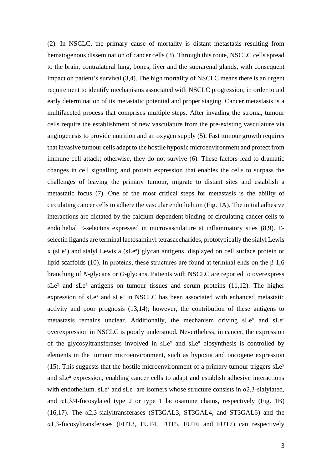(2). In NSCLC, the primary cause of mortality is distant metastasis resulting from hematogenous dissemination of cancer cells (3). Through this route, NSCLC cells spread to the brain, contralateral lung, bones, liver and the suprarenal glands, with consequent impact on patient's survival (3,4). The high mortality of NSCLC means there is an urgent requirement to identify mechanisms associated with NSCLC progression, in order to aid early determination of its metastatic potential and proper staging. Cancer metastasis is a multifaceted process that comprises multiple steps. After invading the stroma, tumour cells require the establishment of new vasculature from the pre-existing vasculature via angiogenesis to provide nutrition and an oxygen supply (5). Fast tumour growth requires that invasive tumour cells adapt to the hostile hypoxic microenvironment and protect from immune cell attack; otherwise, they do not survive (6). These factors lead to dramatic changes in cell signalling and protein expression that enables the cells to surpass the challenges of leaving the primary tumour, migrate to distant sites and establish a metastatic focus (7). One of the most critical steps for metastasis is the ability of circulating cancer cells to adhere the vascular endothelium (Fig. 1A). The initial adhesive interactions are dictated by the calcium-dependent binding of circulating cancer cells to endothelial E-selectins expressed in microvasculature at inflammatory sites (8,9). Eselectin ligands are terminal lactosaminyl tetrasaccharides, prototypically the sialyl Lewis x (sLe<sup>x</sup>) and sialyl Lewis a (sLe<sup>a</sup>) glycan antigens, displayed on cell surface protein or lipid scaffolds (10). In proteins, these structures are found at terminal ends on the β-1,6 branching of *N*-glycans or *O*-glycans. Patients with NSCLC are reported to overexpress  $sLe<sup>x</sup>$  and  $sLe<sup>a</sup>$  antigens on tumour tissues and serum proteins (11,12). The higher expression of sLe<sup>x</sup> and sLe<sup>a</sup> in NSCLC has been associated with enhanced metastatic activity and poor prognosis (13,14); however, the contribution of these antigens to metastasis remains unclear. Additionally, the mechanism driving sLe<sup>x</sup> and sLe<sup>a</sup> overexpression in NSCLC is poorly understood. Nevertheless, in cancer, the expression of the glycosyltransferases involved in  $sLe^{x}$  and  $sLe^{a}$  biosynthesis is controlled by elements in the tumour microenvironment, such as hypoxia and oncogene expression (15). This suggests that the hostile microenvironment of a primary tumour triggers  $sLe^{x}$ and sLe<sup>a</sup> expression, enabling cancer cells to adapt and establish adhesive interactions with endothelium. sLe<sup>x</sup> and sLe<sup>a</sup> are isomers whose structure consists in  $\alpha$ 2,3-sialylated, and  $\alpha$ 1,3/4-fucosylated type 2 or type 1 lactosamine chains, respectively (Fig. 1B) (16,17). The α2,3-sialyltransferases (ST3GAL3, ST3GAL4, and ST3GAL6) and the α1,3-fucosyltransferases (FUT3, FUT4, FUT5, FUT6 and FUT7) can respectively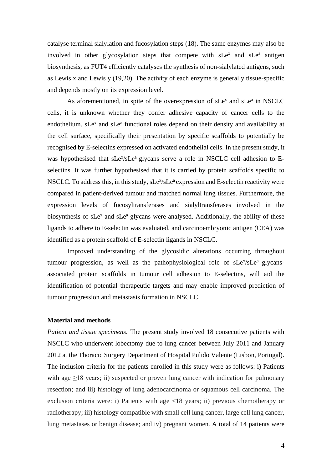catalyse terminal sialylation and fucosylation steps (18). The same enzymes may also be involved in other glycosylation steps that compete with  $sLe^x$  and  $sLe^a$  antigen biosynthesis, as FUT4 efficiently catalyses the synthesis of non-sialylated antigens, such as Lewis x and Lewis y (19,20). The activity of each enzyme is generally tissue-specific and depends mostly on its expression level.

As aforementioned, in spite of the overexpression of  $sLe<sup>x</sup>$  and  $sLe<sup>a</sup>$  in NSCLC cells, it is unknown whether they confer adhesive capacity of cancer cells to the endothelium. sLe<sup>x</sup> and sLe<sup>a</sup> functional roles depend on their density and availability at the cell surface, specifically their presentation by specific scaffolds to potentially be recognised by E-selectins expressed on activated endothelial cells. In the present study, it was hypothesised that sLe<sup>x</sup>/sLe<sup>a</sup> glycans serve a role in NSCLC cell adhesion to Eselectins. It was further hypothesised that it is carried by protein scaffolds specific to NSCLC. To address this, in this study, sLe<sup>x</sup>/sLe<sup>a</sup> expression and E-selectin reactivity were compared in patient-derived tumour and matched normal lung tissues. Furthermore, the expression levels of fucosyltransferases and sialyltransferases involved in the biosynthesis of sLe<sup>x</sup> and sLe<sup>a</sup> glycans were analysed. Additionally, the ability of these ligands to adhere to E-selectin was evaluated, and carcinoembryonic antigen (CEA) was identified as a protein scaffold of E-selectin ligands in NSCLC.

Improved understanding of the glycosidic alterations occurring throughout tumour progression, as well as the pathophysiological role of sLe<sup>x</sup>/sLe<sup>a</sup> glycansassociated protein scaffolds in tumour cell adhesion to E-selectins, will aid the identification of potential therapeutic targets and may enable improved prediction of tumour progression and metastasis formation in NSCLC.

#### **Material and methods**

*Patient and tissue specimens.* The present study involved 18 consecutive patients with NSCLC who underwent lobectomy due to lung cancer between July 2011 and January 2012 at the Thoracic Surgery Department of Hospital Pulido Valente (Lisbon, Portugal). The inclusion criteria for the patients enrolled in this study were as follows: i) Patients with age  $\geq$ 18 years; ii) suspected or proven lung cancer with indication for pulmonary resection; and iii) histology of lung adenocarcinoma or squamous cell carcinoma. The exclusion criteria were: i) Patients with age <18 years; ii) previous chemotherapy or radiotherapy; iii) histology compatible with small cell lung cancer, large cell lung cancer, lung metastases or benign disease; and iv) pregnant women. A total of 14 patients were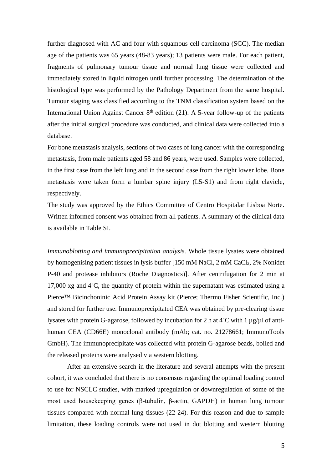further diagnosed with AC and four with squamous cell carcinoma (SCC). The median age of the patients was 65 years (48-83 years); 13 patients were male. For each patient, fragments of pulmonary tumour tissue and normal lung tissue were collected and immediately stored in liquid nitrogen until further processing. The determination of the histological type was performed by the Pathology Department from the same hospital. Tumour staging was classified according to the TNM classification system based on the International Union Against Cancer  $8<sup>th</sup>$  edition (21). A 5-year follow-up of the patients after the initial surgical procedure was conducted, and clinical data were collected into a database.

For bone metastasis analysis, sections of two cases of lung cancer with the corresponding metastasis, from male patients aged 58 and 86 years, were used. Samples were collected, in the first case from the left lung and in the second case from the right lower lobe. Bone metastasis were taken form a lumbar spine injury (L5-S1) and from right clavicle, respectively.

The study was approved by the Ethics Committee of Centro Hospitalar Lisboa Norte. Written informed consent was obtained from all patients. A summary of the clinical data is available in Table SI.

*Immunoblotting and immunoprecipitation analysis.* Whole tissue lysates were obtained by homogenising patient tissues in lysis buffer [150 mM NaCl, 2 mM CaCl2, 2% Nonidet P-40 and protease inhibitors (Roche Diagnostics)]. After centrifugation for 2 min at 17,000 xg and 4˚C, the quantity of protein within the supernatant was estimated using a Pierce™ Bicinchoninic Acid Protein Assay kit (Pierce; Thermo Fisher Scientific, Inc.) and stored for further use. Immunoprecipitated CEA was obtained by pre-clearing tissue lysates with protein G-agarose, followed by incubation for 2 h at  $4^{\circ}$ C with 1 µg/µl of antihuman CEA (CD66E) monoclonal antibody (mAb; cat. no. 21278661; ImmunoTools GmbH). The immunoprecipitate was collected with protein G-agarose beads, boiled and the released proteins were analysed via western blotting.

After an extensive search in the literature and several attempts with the present cohort, it was concluded that there is no consensus regarding the optimal loading control to use for NSCLC studies, with marked upregulation or downregulation of some of the most used housekeeping genes (β-tubulin, β-actin, GAPDH) in human lung tumour tissues compared with normal lung tissues (22-24). For this reason and due to sample limitation, these loading controls were not used in dot blotting and western blotting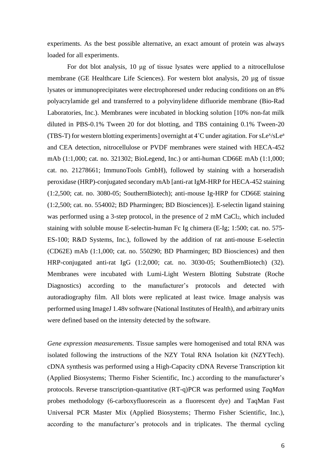experiments. As the best possible alternative, an exact amount of protein was always loaded for all experiments.

For dot blot analysis, 10 μg of tissue lysates were applied to a nitrocellulose membrane (GE Healthcare Life Sciences). For western blot analysis, 20 µg of tissue lysates or immunoprecipitates were electrophoresed under reducing conditions on an 8% polyacrylamide gel and transferred to a polyvinylidene difluoride membrane (Bio-Rad Laboratories, Inc.). Membranes were incubated in blocking solution [10% non-fat milk diluted in PBS-0.1% Tween 20 for dot blotting, and TBS containing 0.1% Tween-20 (TBS-T) for western blotting experiments] overnight at 4°C under agitation. For sLe<sup>x</sup>/sLe<sup>a</sup> and CEA detection, nitrocellulose or PVDF membranes were stained with HECA-452 mAb (1:1,000; cat. no. 321302; BioLegend, Inc.) or anti-human CD66E mAb (1:1,000; cat. no. 21278661; ImmunoTools GmbH), followed by staining with a horseradish peroxidase (HRP)-conjugated secondary mAb [anti-rat IgM-HRP for HECA-452 staining (1:2,500; cat. no. 3080-05; SouthernBiotech); anti-mouse Ig-HRP for CD66E staining (1:2,500; cat. no. 554002; BD Pharmingen; BD Biosciences)]. E-selectin ligand staining was performed using a 3-step protocol, in the presence of 2 mM CaCl<sub>2</sub>, which included staining with soluble mouse E-selectin-human Fc Ig chimera (E-Ig; 1:500; cat. no. 575- ES-100; R&D Systems, Inc.), followed by the addition of rat anti-mouse E-selectin (CD62E) mAb (1:1,000; cat. no. 550290; BD Pharmingen; BD Biosciences) and then HRP-conjugated anti-rat IgG (1:2,000; cat. no. 3030-05; SouthernBiotech) (32). Membranes were incubated with Lumi-Light Western Blotting Substrate (Roche Diagnostics) according to the manufacturer's protocols and detected with autoradiography film. All blots were replicated at least twice. Image analysis was performed using ImageJ 1.48v software (National Institutes of Health), and arbitrary units were defined based on the intensity detected by the software.

*Gene expression measurements.* Tissue samples were homogenised and total RNA was isolated following the instructions of the NZY Total RNA Isolation kit (NZYTech). cDNA synthesis was performed using a High-Capacity cDNA Reverse Transcription kit (Applied Biosystems; Thermo Fisher Scientific, Inc.) according to the manufacturer's protocols. Reverse transcription-quantitative (RT-q)PCR was performed using *TaqMan* probes methodology (6-carboxyfluorescein as a fluorescent dye) and TaqMan Fast Universal PCR Master Mix (Applied Biosystems; Thermo Fisher Scientific, Inc.), according to the manufacturer's protocols and in triplicates. The thermal cycling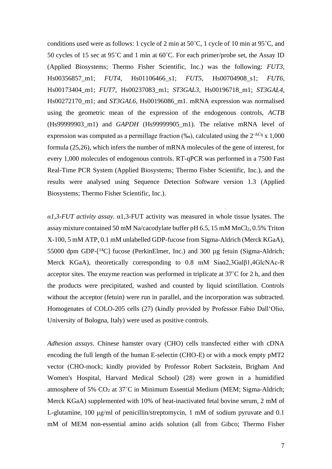conditions used were as follows: 1 cycle of 2 min at 50˚C, 1 cycle of 10 min at 95˚C, and 50 cycles of 15 sec at 95˚C and 1 min at 60˚C. For each primer/probe set, the Assay ID (Applied Biosystems; Thermo Fisher Scientific, Inc.) was the following: *FUT3*, Hs00356857\_m1; *FUT4*, Hs01106466\_s1; *FUT5*, Hs00704908\_s1; *FUT6*, Hs00173404\_m1; *FUT7*, Hs00237083\_m1; *ST3GAL3*, Hs00196718\_m1; *ST3GAL4*, Hs00272170\_m1; and *ST3GAL6*, Hs00196086\_m1. mRNA expression was normalised using the geometric mean of the expression of the endogenous controls, *ACTB* (Hs99999903\_m1) and *GAPDH* (Hs99999905\_m1). The relative mRNA level of expression was computed as a permillage fraction  $(\%$ ), calculated using the  $2^{-\Delta C}$  x 1,000 formula (25,26), which infers the number of mRNA molecules of the gene of interest, for every 1,000 molecules of endogenous controls. RT-qPCR was performed in a 7500 Fast Real-Time PCR System (Applied Biosystems; Thermo Fisher Scientific, Inc.), and the results were analysed using Sequence Detection Software version 1.3 (Applied Biosystems; Thermo Fisher Scientific, Inc.).

*α1,3-FUT activity assay.* α1,3-FUT activity was measured in whole tissue lysates. The assay mixture contained 50 mM Na/cacodylate buffer pH 6.5, 15 mM MnCl2, 0.5% Triton X-100, 5 mM ATP, 0.1 mM unlabelled GDP-fucose from Sigma-Aldrich (Merck KGaA), 55000 dpm GDP-[ <sup>14</sup>C] fucose (PerkinElmer, Inc.) and 300 µg fetuin (Sigma-Aldrich; Merck KGaA), theoretically corresponding to 0.8 mM Siaα2,3Galβ1,4GlcNAc-R acceptor sites. The enzyme reaction was performed in triplicate at 37˚C for 2 h, and then the products were precipitated, washed and counted by liquid scintillation. Controls without the acceptor (fetuin) were run in parallel, and the incorporation was subtracted. Homogenates of COLO-205 cells (27) (kindly provided by Professor Fabio Dall'Olio, University of Bologna, Italy) were used as positive controls.

*Adhesion assays.* Chinese hamster ovary (CHO) cells transfected either with cDNA encoding the full length of the human E-selectin (CHO-E) or with a mock empty pMT2 vector (CHO-mock; kindly provided by Professor Robert Sackstein, Brigham And Women's Hospital, Harvard Medical School) (28) were grown in a humidified atmosphere of 5% CO<sup>2</sup> at 37˚C in Minimum Essential Medium (MEM; Sigma-Aldrich; Merck KGaA) supplemented with 10% of heat-inactivated fetal bovine serum, 2 mM of L-glutamine, 100 μg/ml of penicillin/streptomycin, 1 mM of sodium pyruvate and 0.1 mM of MEM non-essential amino acids solution (all from Gibco; Thermo Fisher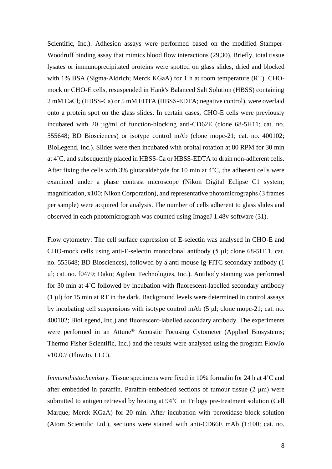Scientific, Inc.). Adhesion assays were performed based on the modified Stamper-Woodruff binding assay that mimics blood flow interactions (29,30). Briefly, total tissue lysates or immunoprecipitated proteins were spotted on glass slides, dried and blocked with 1% BSA (Sigma-Aldrich; Merck KGaA) for 1 h at room temperature (RT). CHOmock or CHO-E cells, resuspended in Hank's Balanced Salt Solution (HBSS) containing 2 mM CaCl<sup>2</sup> (HBSS-Ca) or 5 mM EDTA (HBSS-EDTA; negative control), were overlaid onto a protein spot on the glass slides. In certain cases, CHO-E cells were previously incubated with 20 µg/ml of function-blocking anti-CD62E (clone 68-5H11; cat. no. 555648; BD Biosciences) or isotype control mAb (clone mopc-21; cat. no. 400102; BioLegend, Inc.). Slides were then incubated with orbital rotation at 80 RPM for 30 min at 4˚C, and subsequently placed in HBSS-Ca or HBSS-EDTA to drain non-adherent cells. After fixing the cells with 3% glutaraldehyde for 10 min at  $4^{\circ}$ C, the adherent cells were examined under a phase contrast microscope (Nikon Digital Eclipse C1 system; magnification, x100; Nikon Corporation), and representative photomicrographs (3 frames per sample) were acquired for analysis. The number of cells adherent to glass slides and observed in each photomicrograph was counted using ImageJ 1.48v software (31).

Flow cytometry: The cell surface expression of E-selectin was analysed in CHO-E and CHO-mock cells using anti-E-selectin monoclonal antibody (5 μl; clone 68-5H11, cat. no. 555648; BD Biosciences), followed by a anti-mouse Ig-FITC secondary antibody (1 μl; cat. no. f0479; Dako; Agilent Technologies, Inc.). Antibody staining was performed for 30 min at 4°C followed by incubation with fluorescent-labelled secondary antibody (1 μl) for 15 min at RT in the dark. Background levels were determined in control assays by incubating cell suspensions with isotype control mAb (5 μl; clone mopc-21; cat. no. 400102; BioLegend, Inc.) and fluorescent‐labelled secondary antibody. The experiments were performed in an Attune® Acoustic Focusing Cytometer (Applied Biosystems; Thermo Fisher Scientific, Inc.) and the results were analysed using the program FlowJo v10.0.7 (FlowJo, LLC).

*Immunohistochemistry*. Tissue specimens were fixed in 10% formalin for 24 h at 4<sup>°</sup>C and after embedded in paraffin. Paraffin-embedded sections of tumour tissue (2 μm) were submitted to antigen retrieval by heating at 94˚C in Trilogy pre-treatment solution (Cell Marque; Merck KGaA) for 20 min. After incubation with peroxidase block solution (Atom Scientific Ltd.), sections were stained with anti-CD66E mAb (1:100; cat. no.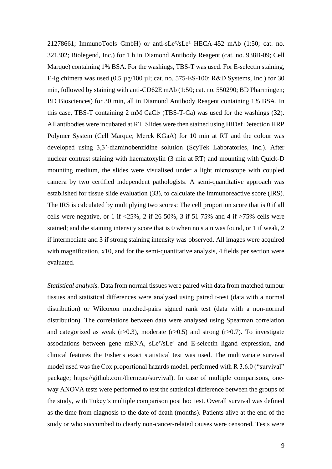21278661; ImmunoTools GmbH) or anti-sLe<sup>x</sup>/sLe<sup>a</sup> HECA-452 mAb (1:50; cat. no. 321302; Biolegend, Inc.) for 1 h in Diamond Antibody Reagent (cat. no. 938B-09; Cell Marque) containing 1% BSA. For the washings, TBS-T was used. For E-selectin staining, E-Ig chimera was used  $(0.5 \mu g/100 \mu l;$  cat. no. 575-ES-100; R&D Systems, Inc.) for 30 min, followed by staining with anti-CD62E mAb (1:50; cat. no. 550290; BD Pharmingen; BD Biosciences) for 30 min, all in Diamond Antibody Reagent containing 1% BSA. In this case, TBS-T containing  $2 \text{ mM } CaCl_2$  (TBS-T-Ca) was used for the washings (32). All antibodies were incubated at RT. Slides were then stained using HiDef Detection HRP Polymer System (Cell Marque; Merck KGaA) for 10 min at RT and the colour was developed using 3,3'-diaminobenzidine solution (ScyTek Laboratories, Inc.). After nuclear contrast staining with haematoxylin (3 min at RT) and mounting with Quick-D mounting medium, the slides were visualised under a light microscope with coupled camera by two certified independent pathologists. A semi-quantitative approach was established for tissue slide evaluation (33), to calculate the immunoreactive score (IRS). The IRS is calculated by multiplying two scores: The cell proportion score that is 0 if all cells were negative, or 1 if  $\langle 25\%, 2 \text{ if } 26-50\%, 3 \text{ if } 51-75\% \text{ and } 4 \text{ if } \rangle$  = 75% cells were stained; and the staining intensity score that is 0 when no stain was found, or 1 if weak, 2 if intermediate and 3 if strong staining intensity was observed. All images were acquired with magnification, x10, and for the semi-quantitative analysis, 4 fields per section were evaluated.

*Statistical analysis.* Data from normal tissues were paired with data from matched tumour tissues and statistical differences were analysed using paired t-test (data with a normal distribution) or Wilcoxon matched-pairs signed rank test (data with a non-normal distribution). The correlations between data were analysed using Spearman correlation and categorized as weak  $(r>0.3)$ , moderate  $(r>0.5)$  and strong  $(r>0.7)$ . To investigate associations between gene mRNA, sLe<sup>x</sup>/sLe<sup>a</sup> and E-selectin ligand expression, and clinical features the Fisher's exact statistical test was used. The multivariate survival model used was the Cox proportional hazards model, performed with R 3.6.0 ("survival" package; https://github.com/therneau/survival). In case of multiple comparisons, oneway ANOVA tests were performed to test the statistical difference between the groups of the study, with Tukey's multiple comparison post hoc test. Overall survival was defined as the time from diagnosis to the date of death (months). Patients alive at the end of the study or who succumbed to clearly non-cancer-related causes were censored. Tests were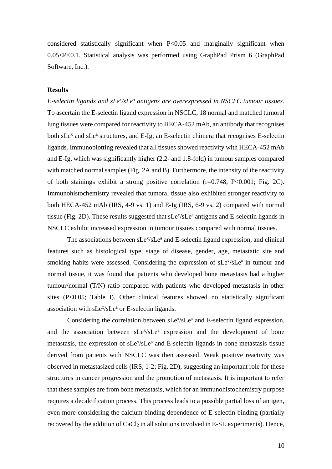considered statistically significant when P<0.05 and marginally significant when 0.05<P<0.1. Statistical analysis was performed using GraphPad Prism 6 (GraphPad Software, Inc.).

# **Results**

E-selectin ligands and sLe<sup>x</sup>/sLe<sup>a</sup> antigens are overexpressed in NSCLC tumour tissues. To ascertain the E-selectin ligand expression in NSCLC, 18 normal and matched tumoral lung tissues were compared for reactivity to HECA-452 mAb, an antibody that recognises both sLe<sup>x</sup> and sLe<sup>a</sup> structures, and E-Ig, an E-selectin chimera that recognises E-selectin ligands. Immunoblotting revealed that all tissues showed reactivity with HECA-452 mAb and E-Ig, which was significantly higher (2.2- and 1.8-fold) in tumour samples compared with matched normal samples (Fig. 2A and B). Furthermore, the intensity of the reactivity of both stainings exhibit a strong positive correlation (r=0.748, P<0.001; Fig. 2C). Immunohistochemistry revealed that tumoral tissue also exhibited stronger reactivity to both HECA-452 mAb (IRS, 4-9 vs. 1) and E-Ig (IRS, 6-9 vs. 2) compared with normal tissue (Fig. 2D). These results suggested that sLe<sup>x</sup>/sLe<sup>a</sup> antigens and E-selectin ligands in NSCLC exhibit increased expression in tumour tissues compared with normal tissues.

The associations between sLe<sup>x</sup>/sLe<sup>a</sup> and E-selectin ligand expression, and clinical features such as histological type, stage of disease, gender, age, metastatic site and smoking habits were assessed. Considering the expression of sLe<sup>x</sup>/sLe<sup>a</sup> in tumour and normal tissue, it was found that patients who developed bone metastasis had a higher tumour/normal (T/N) ratio compared with patients who developed metastasis in other sites (P<0.05; Table I). Other clinical features showed no statistically significant association with  $sLe^{x}/sLe^{a}$  or E-selectin ligands.

Considering the correlation between sLe<sup>x</sup>/sLe<sup>a</sup> and E-selectin ligand expression, and the association between sLe<sup>x</sup>/sLe<sup>a</sup> expression and the development of bone metastasis, the expression of sLe<sup>x</sup>/sLe<sup>a</sup> and E-selectin ligands in bone metastasis tissue derived from patients with NSCLC was then assessed. Weak positive reactivity was observed in metastasized cells (IRS, 1-2; Fig. 2D), suggesting an important role for these structures in cancer progression and the promotion of metastasis. It is important to refer that these samples are from bone metastasis, which for an immunohistochemistry purpose requires a decalcification process. This process leads to a possible partial loss of antigen, even more considering the calcium binding dependence of E-selectin binding (partially recovered by the addition of CaCl<sub>2</sub> in all solutions involved in E-SL experiments). Hence,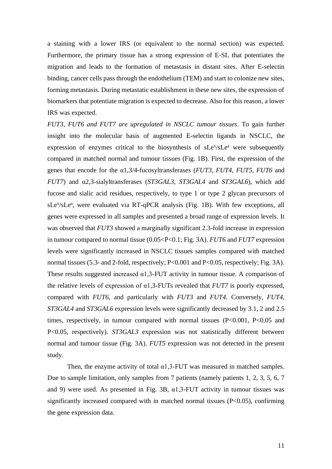a staining with a lower IRS (or equivalent to the normal section) was expected. Furthermore, the primary tissue has a strong expression of E-SL that potentiates the migration and leads to the formation of metastasis in distant sites. After E-selectin binding, cancer cells pass through the endothelium (TEM) and start to colonize new sites, forming metastasis. During metastatic establishment in these new sites, the expression of biomarkers that potentiate migration is expected to decrease. Also for this reason, a lower IRS was expected.

*FUT3, FUT6 and FUT7 are upregulated in NSCLC tumour tissues*. To gain further insight into the molecular basis of augmented E-selectin ligands in NSCLC, the expression of enzymes critical to the biosynthesis of sLe<sup>x</sup>/sLe<sup>a</sup> were subsequently compared in matched normal and tumour tissues (Fig. 1B). First, the expression of the genes that encode for the α1,3/4-fucosyltransferases (*FUT3*, *FUT4*, *FUT5*, *FUT6* and *FUT7*) and α2,3-sialyltransferases (*ST3GAL3*, *ST3GAL4* and *ST3GAL6*), which add fucose and sialic acid residues, respectively, to type 1 or type 2 glycan precursors of sLe<sup>x</sup>/sLe<sup>a</sup>, were evaluated via RT-qPCR analysis (Fig. 1B). With few exceptions, all genes were expressed in all samples and presented a broad range of expression levels. It was observed that *FUT3* showed a marginally significant 2.3-fold increase in expression in tumour compared to normal tissue (0.05<P<0.1; Fig. 3A). *FUT6* and *FUT7* expression levels were significantly increased in NSCLC tissues samples compared with matched normal tissues (5.3- and 2-fold, respectively; P<0.001 and P<0.05, respectively; Fig. 3A). These results suggested increased  $\alpha$ 1,3-FUT activity in tumour tissue. A comparison of the relative levels of expression of  $\alpha$ 1,3-FUTs revealed that *FUT7* is poorly expressed, compared with *FUT6*, and particularly with *FUT3* and *FUT4*. Conversely, *FUT4*, *ST3GAL4* and *ST3GAL6* expression levels were significantly decreased by 3.1, 2 and 2.5 times, respectively, in tumour compared with normal tissues (P<0.001, P<0.05 and P<0.05, respectively). *ST3GAL3* expression was not statistically different between normal and tumour tissue (Fig. 3A). *FUT5* expression was not detected in the present study.

Then, the enzyme activity of total  $\alpha$ 1,3-FUT was measured in matched samples. Due to sample limitation, only samples from 7 patients (namely patients 1, 2, 3, 5, 6, 7 and 9) were used. As presented in Fig. 3B,  $\alpha$ 1,3-FUT activity in tumour tissues was significantly increased compared with in matched normal tissues  $(P<0.05)$ , confirming the gene expression data.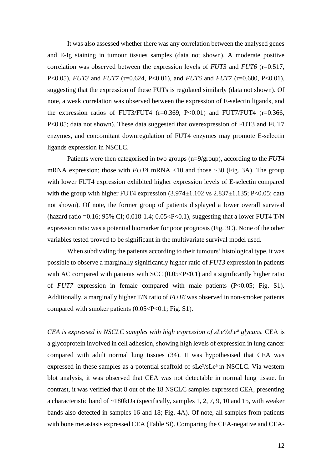It was also assessed whether there was any correlation between the analysed genes and E-Ig staining in tumour tissues samples (data not shown). A moderate positive correlation was observed between the expression levels of *FUT3* and *FUT6* (r=0.517, P<0.05), *FUT3* and *FUT7* (r=0.624, P<0.01), and *FUT6* and *FUT7* (r=0.680, P<0.01), suggesting that the expression of these FUTs is regulated similarly (data not shown). Of note, a weak correlation was observed between the expression of E-selectin ligands, and the expression ratios of FUT3/FUT4  $(r=0.369, P<0.01)$  and FUT7/FUT4  $(r=0.366,$ P<0.05; data not shown). These data suggested that overexpression of FUT3 and FUT7 enzymes, and concomitant downregulation of FUT4 enzymes may promote E-selectin ligands expression in NSCLC.

Patients were then categorised in two groups (n=9/group), according to the *FUT4* mRNA expression; those with *FUT4* mRNA <10 and those ~30 (Fig. 3A). The group with lower FUT4 expression exhibited higher expression levels of E-selectin compared with the group with higher FUT4 expression  $(3.974 \pm 1.102 \text{ vs } 2.837 \pm 1.135; P \le 0.05; \text{data}$ not shown). Of note, the former group of patients displayed a lower overall survival (hazard ratio =0.16; 95% CI; 0.018-1.4; 0.05<P<0.1), suggesting that a lower FUT4 T/N expression ratio was a potential biomarker for poor prognosis (Fig. 3C). None of the other variables tested proved to be significant in the multivariate survival model used.

When subdividing the patients according to their tumours' histological type, it was possible to observe a marginally significantly higher ratio of *FUT3* expression in patients with AC compared with patients with SCC  $(0.05 < P < 0.1)$  and a significantly higher ratio of *FUT7* expression in female compared with male patients (P<0.05; Fig. S1). Additionally, a marginally higher T/N ratio of *FUT6* was observed in non-smoker patients compared with smoker patients  $(0.05 < P < 0.1$ ; Fig. S1).

*CEA is expressed in NSCLC samples with high expression of sLe<sup>x</sup> /sLe<sup>a</sup> glycans.* CEA is a glycoprotein involved in cell adhesion, showing high levels of expression in lung cancer compared with adult normal lung tissues (34). It was hypothesised that CEA was expressed in these samples as a potential scaffold of sLe<sup>x</sup>/sLe<sup>a</sup> in NSCLC. Via western blot analysis, it was observed that CEA was not detectable in normal lung tissue. In contrast, it was verified that 8 out of the 18 NSCLC samples expressed CEA, presenting a characteristic band of ~180kDa (specifically, samples 1, 2, 7, 9, 10 and 15, with weaker bands also detected in samples 16 and 18; Fig. 4A). Of note, all samples from patients with bone metastasis expressed CEA (Table SI). Comparing the CEA-negative and CEA-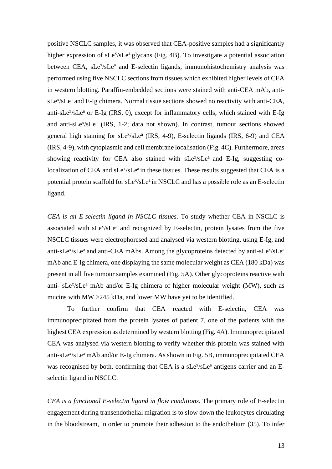positive NSCLC samples, it was observed that CEA-positive samples had a significantly higher expression of sLe<sup>x</sup>/sLe<sup>a</sup> glycans (Fig. 4B). To investigate a potential association between CEA, sLe<sup>x</sup>/sLe<sup>a</sup> and E-selectin ligands, immunohistochemistry analysis was performed using five NSCLC sections from tissues which exhibited higher levels of CEA in western blotting. Paraffin-embedded sections were stained with anti-CEA mAb, antisLe<sup>x</sup>/sLe<sup>a</sup> and E-Ig chimera. Normal tissue sections showed no reactivity with anti-CEA, anti-sLe<sup>x</sup>/sLe<sup>a</sup> or E-Ig (IRS, 0), except for inflammatory cells, which stained with E-Ig and anti-sLe<sup>x</sup>/sLe<sup>a</sup> (IRS, 1-2; data not shown). In contrast, tumour sections showed general high staining for sLe<sup>x</sup>/sLe<sup>a</sup> (IRS, 4-9), E-selectin ligands (IRS, 6-9) and CEA (IRS, 4-9), with cytoplasmic and cell membrane localisation (Fig. 4C). Furthermore, areas showing reactivity for CEA also stained with sLe<sup>x</sup>/sLe<sup>a</sup> and E-Ig, suggesting colocalization of CEA and sLe<sup>x</sup>/sLe<sup>a</sup> in these tissues. These results suggested that CEA is a potential protein scaffold for sLe<sup>x</sup>/sLe<sup>a</sup> in NSCLC and has a possible role as an E-selectin ligand.

*CEA is an E-selectin ligand in NSCLC tissues.* To study whether CEA in NSCLC is associated with sLe<sup>x</sup>/sLe<sup>a</sup> and recognized by E-selectin, protein lysates from the five NSCLC tissues were electrophoresed and analysed via western blotting, using E-Ig, and anti-sLe<sup>x</sup>/sLe<sup>a</sup> and anti-CEA mAbs. Among the glycoproteins detected by anti-sLe<sup>x</sup>/sLe<sup>a</sup> mAb and E-Ig chimera, one displaying the same molecular weight as CEA (180 kDa) was present in all five tumour samples examined (Fig. 5A). Other glycoproteins reactive with anti- sLe<sup>x</sup>/sLe<sup>a</sup> mAb and/or E-Ig chimera of higher molecular weight (MW), such as mucins with MW >245 kDa, and lower MW have yet to be identified.

To further confirm that CEA reacted with E-selectin, CEA was immunoprecipitated from the protein lysates of patient 7, one of the patients with the highest CEA expression as determined by western blotting (Fig. 4A). Immunoprecipitated CEA was analysed via western blotting to verify whether this protein was stained with anti-sLe<sup>x</sup>/sLe<sup>a</sup> mAb and/or E-Ig chimera. As shown in Fig. 5B, immunoprecipitated CEA was recognised by both, confirming that CEA is a sLe<sup>x</sup>/sLe<sup>a</sup> antigens carrier and an Eselectin ligand in NSCLC.

*CEA is a functional E-selectin ligand in flow conditions.* The primary role of E-selectin engagement during transendothelial migration is to slow down the leukocytes circulating in the bloodstream, in order to promote their adhesion to the endothelium (35). To infer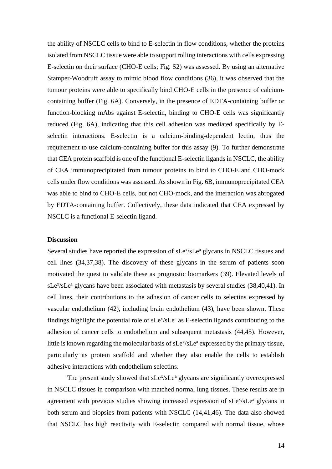the ability of NSCLC cells to bind to E-selectin in flow conditions, whether the proteins isolated from NSCLC tissue were able to support rolling interactions with cells expressing E-selectin on their surface (CHO-E cells; Fig. S2) was assessed. By using an alternative Stamper-Woodruff assay to mimic blood flow conditions (36), it was observed that the tumour proteins were able to specifically bind CHO-E cells in the presence of calciumcontaining buffer (Fig. 6A). Conversely, in the presence of EDTA-containing buffer or function-blocking mAbs against E-selectin, binding to CHO-E cells was significantly reduced (Fig. 6A), indicating that this cell adhesion was mediated specifically by Eselectin interactions. E-selectin is a calcium-binding-dependent lectin, thus the requirement to use calcium-containing buffer for this assay (9). To further demonstrate that CEA protein scaffold is one of the functional E-selectin ligands in NSCLC, the ability of CEA immunoprecipitated from tumour proteins to bind to CHO-E and CHO-mock cells under flow conditions was assessed. As shown in Fig. 6B, immunoprecipitated CEA was able to bind to CHO-E cells, but not CHO-mock, and the interaction was abrogated by EDTA-containing buffer. Collectively, these data indicated that CEA expressed by NSCLC is a functional E-selectin ligand.

#### **Discussion**

Several studies have reported the expression of sLe<sup>x</sup>/sLe<sup>a</sup> glycans in NSCLC tissues and cell lines (34,37,38). The discovery of these glycans in the serum of patients soon motivated the quest to validate these as prognostic biomarkers (39). Elevated levels of  $sLe^{x}/sLe^{a}$  glycans have been associated with metastasis by several studies (38,40,41). In cell lines, their contributions to the adhesion of cancer cells to selectins expressed by vascular endothelium (42), including brain endothelium (43), have been shown. These findings highlight the potential role of sLe<sup>x</sup>/sLe<sup>a</sup> as E-selectin ligands contributing to the adhesion of cancer cells to endothelium and subsequent metastasis (44,45). However, little is known regarding the molecular basis of sLe<sup>x</sup>/sLe<sup>a</sup> expressed by the primary tissue, particularly its protein scaffold and whether they also enable the cells to establish adhesive interactions with endothelium selectins.

The present study showed that sLe<sup>x</sup>/sLe<sup>a</sup> glycans are significantly overexpressed in NSCLC tissues in comparison with matched normal lung tissues. These results are in agreement with previous studies showing increased expression of sLe<sup>x</sup>/sLe<sup>a</sup> glycans in both serum and biopsies from patients with NSCLC (14,41,46). The data also showed that NSCLC has high reactivity with E-selectin compared with normal tissue, whose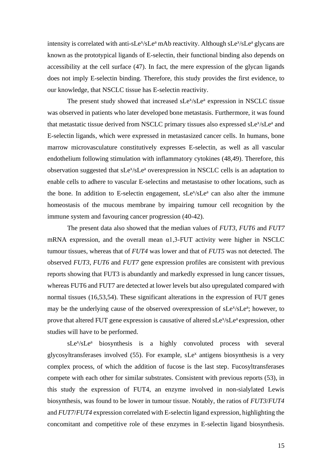intensity is correlated with anti-sLe<sup>x</sup>/sLe<sup>a</sup> mAb reactivity. Although sLe<sup>x</sup>/sLe<sup>a</sup> glycans are known as the prototypical ligands of E-selectin, their functional binding also depends on accessibility at the cell surface (47). In fact, the mere expression of the glycan ligands does not imply E-selectin binding. Therefore, this study provides the first evidence, to our knowledge, that NSCLC tissue has E-selectin reactivity.

The present study showed that increased sLe<sup>x</sup>/sLe<sup>a</sup> expression in NSCLC tissue was observed in patients who later developed bone metastasis. Furthermore, it was found that metastatic tissue derived from NSCLC primary tissues also expressed sLe<sup>x</sup>/sLe<sup>a</sup> and E-selectin ligands, which were expressed in metastasized cancer cells. In humans, bone marrow microvasculature constitutively expresses E-selectin, as well as all vascular endothelium following stimulation with inflammatory cytokines (48,49). Therefore, this observation suggested that sLe<sup>x</sup>/sLe<sup>a</sup> overexpression in NSCLC cells is an adaptation to enable cells to adhere to vascular E-selectins and metastasise to other locations, such as the bone. In addition to E-selectin engagement, sLe<sup>x</sup>/sLe<sup>a</sup> can also alter the immune homeostasis of the mucous membrane by impairing tumour cell recognition by the immune system and favouring cancer progression (40-42).

The present data also showed that the median values of *FUT3*, *FUT6* and *FUT7* mRNA expression, and the overall mean  $\alpha$ 1,3-FUT activity were higher in NSCLC tumour tissues, whereas that of *FUT4* was lower and that of *FUT5* was not detected. The observed *FUT3*, *FUT6* and *FUT7* gene expression profiles are consistent with previous reports showing that FUT3 is abundantly and markedly expressed in lung cancer tissues, whereas FUT6 and FUT7 are detected at lower levels but also upregulated compared with normal tissues (16,53,54). These significant alterations in the expression of FUT genes may be the underlying cause of the observed overexpression of sLe<sup>x</sup>/sLe<sup>a</sup>; however, to prove that altered FUT gene expression is causative of altered sLe<sup>x</sup>/sLe<sup>a</sup> expression, other studies will have to be performed.

sLe<sup>x</sup>/sLe<sup>a</sup> biosynthesis is a highly convoluted process with several glycosyltransferases involved  $(55)$ . For example, sLe<sup>x</sup> antigens biosynthesis is a very complex process, of which the addition of fucose is the last step. Fucosyltransferases compete with each other for similar substrates. Consistent with previous reports (53), in this study the expression of FUT4, an enzyme involved in non-sialylated Lewis biosynthesis, was found to be lower in tumour tissue. Notably, the ratios of *FUT3*/*FUT4* and *FUT7*/*FUT4* expression correlated with E-selectin ligand expression, highlighting the concomitant and competitive role of these enzymes in E-selectin ligand biosynthesis.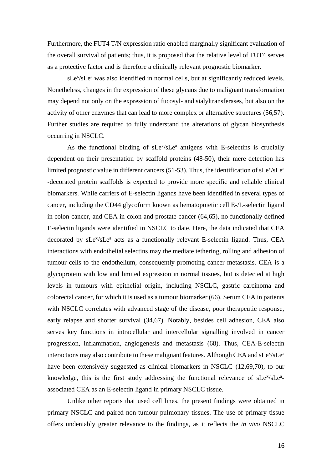Furthermore, the FUT4 T/N expression ratio enabled marginally significant evaluation of the overall survival of patients; thus, it is proposed that the relative level of FUT4 serves as a protective factor and is therefore a clinically relevant prognostic biomarker.

sLe<sup>x</sup>/sLe<sup>a</sup> was also identified in normal cells, but at significantly reduced levels. Nonetheless, changes in the expression of these glycans due to malignant transformation may depend not only on the expression of fucosyl- and sialyltransferases, but also on the activity of other enzymes that can lead to more complex or alternative structures (56,57). Further studies are required to fully understand the alterations of glycan biosynthesis occurring in NSCLC.

As the functional binding of sLe<sup>x</sup>/sLe<sup>a</sup> antigens with E-selectins is crucially dependent on their presentation by scaffold proteins (48-50), their mere detection has limited prognostic value in different cancers (51-53). Thus, the identification of  $sLe^{x}/sLe^{a}$ -decorated protein scaffolds is expected to provide more specific and reliable clinical biomarkers. While carriers of E-selectin ligands have been identified in several types of cancer, including the CD44 glycoform known as hematopoietic cell E-/L-selectin ligand in colon cancer, and CEA in colon and prostate cancer (64,65), no functionally defined E-selectin ligands were identified in NSCLC to date. Here, the data indicated that CEA decorated by sLe<sup>x</sup>/sLe<sup>a</sup> acts as a functionally relevant E-selectin ligand. Thus, CEA interactions with endothelial selectins may the mediate tethering, rolling and adhesion of tumour cells to the endothelium, consequently promoting cancer metastasis. CEA is a glycoprotein with low and limited expression in normal tissues, but is detected at high levels in tumours with epithelial origin, including NSCLC, gastric carcinoma and colorectal cancer, for which it is used as a tumour biomarker (66). Serum CEA in patients with NSCLC correlates with advanced stage of the disease, poor therapeutic response, early relapse and shorter survival (34,67). Notably, besides cell adhesion, CEA also serves key functions in intracellular and intercellular signalling involved in cancer progression, inflammation, angiogenesis and metastasis (68). Thus, CEA-E-selectin interactions may also contribute to these malignant features. Although CEA and sLe<sup>x</sup>/sLe<sup>a</sup> have been extensively suggested as clinical biomarkers in NSCLC (12,69,70), to our knowledge, this is the first study addressing the functional relevance of sLe<sup>x</sup>/sLe<sup>a</sup>associated CEA as an E-selectin ligand in primary NSCLC tissue.

Unlike other reports that used cell lines, the present findings were obtained in primary NSCLC and paired non-tumour pulmonary tissues. The use of primary tissue offers undeniably greater relevance to the findings, as it reflects the *in vivo* NSCLC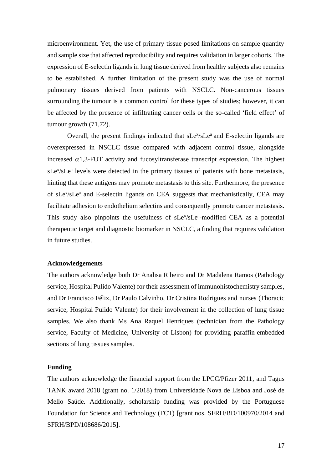microenvironment. Yet, the use of primary tissue posed limitations on sample quantity and sample size that affected reproducibility and requires validation in larger cohorts. The expression of E-selectin ligands in lung tissue derived from healthy subjects also remains to be established. A further limitation of the present study was the use of normal pulmonary tissues derived from patients with NSCLC. Non-cancerous tissues surrounding the tumour is a common control for these types of studies; however, it can be affected by the presence of infiltrating cancer cells or the so-called 'field effect' of tumour growth (71,72).

Overall, the present findings indicated that sLe<sup>x</sup>/sLe<sup>a</sup> and E-selectin ligands are overexpressed in NSCLC tissue compared with adjacent control tissue, alongside increased  $\alpha$ 1,3-FUT activity and fucosyltransferase transcript expression. The highest sLe<sup>x</sup>/sLe<sup>a</sup> levels were detected in the primary tissues of patients with bone metastasis, hinting that these antigens may promote metastasis to this site. Furthermore, the presence of sLe<sup>x</sup>/sLe<sup>a</sup> and E-selectin ligands on CEA suggests that mechanistically, CEA may facilitate adhesion to endothelium selectins and consequently promote cancer metastasis. This study also pinpoints the usefulness of sLe<sup>x</sup>/sLe<sup>a</sup>-modified CEA as a potential therapeutic target and diagnostic biomarker in NSCLC, a finding that requires validation in future studies.

## **Acknowledgements**

The authors acknowledge both Dr Analisa Ribeiro and Dr Madalena Ramos (Pathology service, Hospital Pulido Valente) for their assessment of immunohistochemistry samples, and Dr Francisco Félix, Dr Paulo Calvinho, Dr Cristina Rodrigues and nurses (Thoracic service, Hospital Pulido Valente) for their involvement in the collection of lung tissue samples. We also thank Ms Ana Raquel Henriques (technician from the Pathology service, Faculty of Medicine, University of Lisbon) for providing paraffin-embedded sections of lung tissues samples.

#### **Funding**

The authors acknowledge the financial support from the LPCC/Pfizer 2011, and Tagus TANK award 2018 (grant no. 1/2018) from Universidade Nova de Lisboa and José de Mello Saúde. Additionally, scholarship funding was provided by the Portuguese Foundation for Science and Technology (FCT) [grant nos. SFRH/BD/100970/2014 and SFRH/BPD/108686/2015].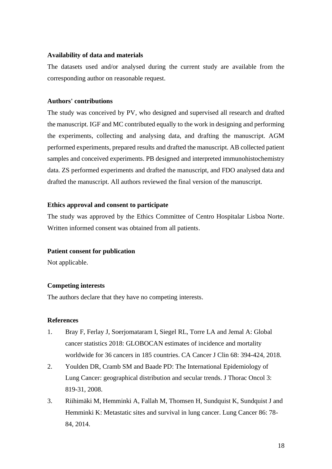## **Availability of data and materials**

The datasets used and/or analysed during the current study are available from the corresponding author on reasonable request.

# **Authors' contributions**

The study was conceived by PV, who designed and supervised all research and drafted the manuscript. IGF and MC contributed equally to the work in designing and performing the experiments, collecting and analysing data, and drafting the manuscript. AGM performed experiments, prepared results and drafted the manuscript. AB collected patient samples and conceived experiments. PB designed and interpreted immunohistochemistry data. ZS performed experiments and drafted the manuscript, and FDO analysed data and drafted the manuscript. All authors reviewed the final version of the manuscript.

## **Ethics approval and consent to participate**

The study was approved by the Ethics Committee of Centro Hospitalar Lisboa Norte. Written informed consent was obtained from all patients.

## **Patient consent for publication**

Not applicable.

## **Competing interests**

The authors declare that they have no competing interests.

## **References**

- 1. Bray F, Ferlay J, Soerjomataram I, Siegel RL, Torre LA and Jemal A: Global cancer statistics 2018: GLOBOCAN estimates of incidence and mortality worldwide for 36 cancers in 185 countries. CA Cancer J Clin 68: 394-424, 2018.
- 2. Youlden DR, Cramb SM and Baade PD: The International Epidemiology of Lung Cancer: geographical distribution and secular trends. J Thorac Oncol 3: 819-31, 2008.
- 3. Riihimäki M, Hemminki A, Fallah M, Thomsen H, Sundquist K, Sundquist J and Hemminki K: Metastatic sites and survival in lung cancer. Lung Cancer 86: 78- 84, 2014.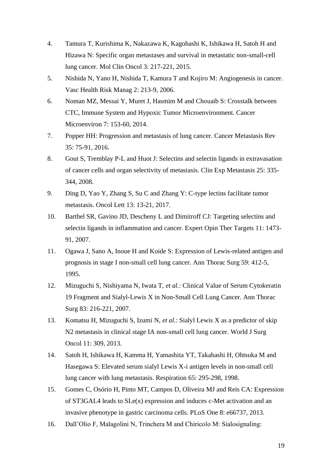- 4. Tamura T, Kurishima K, Nakazawa K, Kagohashi K, Ishikawa H, Satoh H and Hizawa N: Specific organ metastases and survival in metastatic non-small-cell lung cancer. Mol Clin Oncol 3: 217-221, 2015.
- 5. Nishida N, Yano H, Nishida T, Kamura T and Kojiro M: Angiogenesis in cancer. Vasc Health Risk Manag 2: 213-9, 2006.
- 6. Noman MZ, Messai Y, Muret J, Hasmim M and Chouaib S: Crosstalk between CTC, Immune System and Hypoxic Tumor Microenvironment. Cancer Microenviron 7: 153-60, 2014.
- 7. Popper HH: Progression and metastasis of lung cancer. Cancer Metastasis Rev 35: 75-91, 2016.
- 8. Gout S, Tremblay P-L and Huot J: Selectins and selectin ligands in extravasation of cancer cells and organ selectivity of metastasis. Clin Exp Metastasis 25: 335- 344, 2008.
- 9. Ding D, Yao Y, Zhang S, Su C and Zhang Y: C-type lectins facilitate tumor metastasis. Oncol Lett 13: 13-21, 2017.
- 10. Barthel SR, Gavino JD, Descheny L and Dimitroff CJ: Targeting selectins and selectin ligands in inflammation and cancer. Expert Opin Ther Targets 11: 1473- 91, 2007.
- 11. Ogawa J, Sano A, Inoue H and Koide S: Expression of Lewis-related antigen and prognosis in stage I non-small cell lung cancer. Ann Thorac Surg 59: 412-5, 1995.
- 12. Mizuguchi S, Nishiyama N, Iwata T, *et al.*: Clinical Value of Serum Cytokeratin 19 Fragment and Sialyl-Lewis X in Non-Small Cell Lung Cancer. Ann Thorac Surg 83: 216-221, 2007.
- 13. Komatsu H, Mizuguchi S, Izumi N, *et al.*: Sialyl Lewis X as a predictor of skip N2 metastasis in clinical stage IA non-small cell lung cancer. World J Surg Oncol 11: 309, 2013.
- 14. Satoh H, Ishikawa H, Kamma H, Yamashita YT, Takahashi H, Ohtsuka M and Hasegawa S: Elevated serum sialyl Lewis X-i antigen levels in non-small cell lung cancer with lung metastasis. Respiration 65: 295-298, 1998.
- 15. Gomes C, Osório H, Pinto MT, Campos D, Oliveira MJ and Reis CA: Expression of ST3GAL4 leads to SLe(x) expression and induces c-Met activation and an invasive phenotype in gastric carcinoma cells. PLoS One 8: e66737, 2013.
- 16. Dall'Olio F, Malagolini N, Trinchera M and Chiricolo M: Sialosignaling: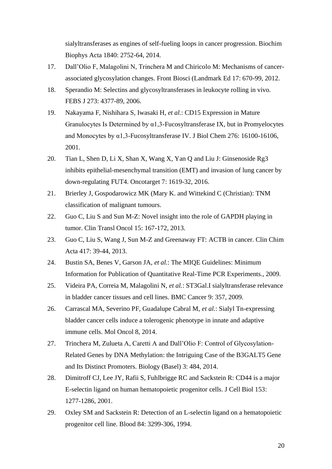sialyltransferases as engines of self-fueling loops in cancer progression. Biochim Biophys Acta 1840: 2752-64, 2014.

- 17. Dall'Olio F, Malagolini N, Trinchera M and Chiricolo M: Mechanisms of cancerassociated glycosylation changes. Front Biosci (Landmark Ed 17: 670-99, 2012.
- 18. Sperandio M: Selectins and glycosyltransferases in leukocyte rolling in vivo. FEBS J 273: 4377-89, 2006.
- 19. Nakayama F, Nishihara S, Iwasaki H, *et al.*: CD15 Expression in Mature Granulocytes Is Determined by  $\alpha$ 1,3-Fucosyltransferase IX, but in Promyelocytes and Monocytes by α1,3-Fucosyltransferase IV. J Biol Chem 276: 16100-16106, 2001.
- 20. Tian L, Shen D, Li X, Shan X, Wang X, Yan Q and Liu J: Ginsenoside Rg3 inhibits epithelial-mesenchymal transition (EMT) and invasion of lung cancer by down-regulating FUT4. Oncotarget 7: 1619-32, 2016.
- 21. Brierley J, Gospodarowicz MK (Mary K. and Wittekind C (Christian): TNM classification of malignant tumours.
- 22. Guo C, Liu S and Sun M-Z: Novel insight into the role of GAPDH playing in tumor. Clin Transl Oncol 15: 167-172, 2013.
- 23. Guo C, Liu S, Wang J, Sun M-Z and Greenaway FT: ACTB in cancer. Clin Chim Acta 417: 39-44, 2013.
- 24. Bustin SA, Benes V, Garson JA, *et al.*: The MIQE Guidelines: Minimum Information for Publication of Quantitative Real-Time PCR Experiments., 2009.
- 25. Videira PA, Correia M, Malagolini N, *et al.*: ST3Gal.I sialyltransferase relevance in bladder cancer tissues and cell lines. BMC Cancer 9: 357, 2009.
- 26. Carrascal MA, Severino PF, Guadalupe Cabral M, *et al.*: Sialyl Tn-expressing bladder cancer cells induce a tolerogenic phenotype in innate and adaptive immune cells. Mol Oncol 8, 2014.
- 27. Trinchera M, Zulueta A, Caretti A and Dall'Olio F: Control of Glycosylation-Related Genes by DNA Methylation: the Intriguing Case of the B3GALT5 Gene and Its Distinct Promoters. Biology (Basel) 3: 484, 2014.
- 28. Dimitroff CJ, Lee JY, Rafii S, Fuhlbrigge RC and Sackstein R: CD44 is a major E-selectin ligand on human hematopoietic progenitor cells. J Cell Biol 153: 1277-1286, 2001.
- 29. Oxley SM and Sackstein R: Detection of an L-selectin ligand on a hematopoietic progenitor cell line. Blood 84: 3299-306, 1994.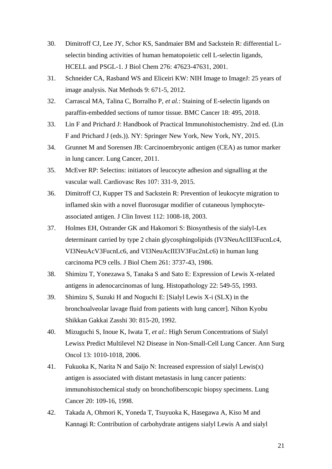- 30. Dimitroff CJ, Lee JY, Schor KS, Sandmaier BM and Sackstein R: differential Lselectin binding activities of human hematopoietic cell L-selectin ligands, HCELL and PSGL-1. J Biol Chem 276: 47623-47631, 2001.
- 31. Schneider CA, Rasband WS and Eliceiri KW: NIH Image to ImageJ: 25 years of image analysis. Nat Methods 9: 671-5, 2012.
- 32. Carrascal MA, Talina C, Borralho P, *et al.*: Staining of E-selectin ligands on paraffin-embedded sections of tumor tissue. BMC Cancer 18: 495, 2018.
- 33. Lin F and Prichard J: Handbook of Practical Immunohistochemistry. 2nd ed. (Lin F and Prichard J (eds.)). NY: Springer New York, New York, NY, 2015.
- 34. Grunnet M and Sorensen JB: Carcinoembryonic antigen (CEA) as tumor marker in lung cancer. Lung Cancer, 2011.
- 35. McEver RP: Selectins: initiators of leucocyte adhesion and signalling at the vascular wall. Cardiovasc Res 107: 331-9, 2015.
- 36. Dimitroff CJ, Kupper TS and Sackstein R: Prevention of leukocyte migration to inflamed skin with a novel fluorosugar modifier of cutaneous lymphocyteassociated antigen. J Clin Invest 112: 1008-18, 2003.
- 37. Holmes EH, Ostrander GK and Hakomori S: Biosynthesis of the sialyl-Lex determinant carried by type 2 chain glycosphingolipids (IV3NeuAcIII3FucnLc4, VI3NeuAcV3FucnLc6, and VI3NeuAcIII3V3Fuc2nLc6) in human lung carcinoma PC9 cells. J Biol Chem 261: 3737-43, 1986.
- 38. Shimizu T, Yonezawa S, Tanaka S and Sato E: Expression of Lewis X-related antigens in adenocarcinomas of lung. Histopathology 22: 549-55, 1993.
- 39. Shimizu S, Suzuki H and Noguchi E: [Sialyl Lewis X-i (SLX) in the bronchoalveolar lavage fluid from patients with lung cancer]. Nihon Kyobu Shikkan Gakkai Zasshi 30: 815-20, 1992.
- 40. Mizuguchi S, Inoue K, Iwata T, *et al.*: High Serum Concentrations of Sialyl Lewisx Predict Multilevel N2 Disease in Non-Small-Cell Lung Cancer. Ann Surg Oncol 13: 1010-1018, 2006.
- 41. Fukuoka K, Narita N and Saijo N: Increased expression of sialyl Lewis(x) antigen is associated with distant metastasis in lung cancer patients: immunohistochemical study on bronchofiberscopic biopsy specimens. Lung Cancer 20: 109-16, 1998.
- 42. Takada A, Ohmori K, Yoneda T, Tsuyuoka K, Hasegawa A, Kiso M and Kannagi R: Contribution of carbohydrate antigens sialyl Lewis A and sialyl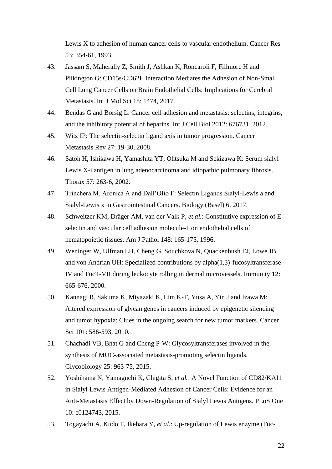Lewis X to adhesion of human cancer cells to vascular endothelium. Cancer Res 53: 354-61, 1993.

- 43. Jassam S, Maherally Z, Smith J, Ashkan K, Roncaroli F, Fillmore H and Pilkington G: CD15s/CD62E Interaction Mediates the Adhesion of Non-Small Cell Lung Cancer Cells on Brain Endothelial Cells: Implications for Cerebral Metastasis. Int J Mol Sci 18: 1474, 2017.
- 44. Bendas G and Borsig L: Cancer cell adhesion and metastasis: selectins, integrins, and the inhibitory potential of heparins. Int J Cell Biol 2012: 676731, 2012.
- 45. Witz IP: The selectin-selectin ligand axis in tumor progression. Cancer Metastasis Rev 27: 19-30, 2008.
- 46. Satoh H, Ishikawa H, Yamashita YT, Ohtsuka M and Sekizawa K: Serum sialyl Lewis X-i antigen in lung adenocarcinoma and idiopathic pulmonary fibrosis. Thorax 57: 263-6, 2002.
- 47. Trinchera M, Aronica A and Dall'Olio F: Selectin Ligands Sialyl-Lewis a and Sialyl-Lewis x in Gastrointestinal Cancers. Biology (Basel) 6, 2017.
- 48. Schweitzer KM, Dräger AM, van der Valk P, *et al.*: Constitutive expression of Eselectin and vascular cell adhesion molecule-1 on endothelial cells of hematopoietic tissues. Am J Pathol 148: 165-175, 1996.
- 49. Weninger W, Ulfman LH, Cheng G, Souchkova N, Quackenbush EJ, Lowe JB and von Andrian UH: Specialized contributions by alpha(1,3)-fucosyltransferase-IV and FucT-VII during leukocyte rolling in dermal microvessels. Immunity 12: 665-676, 2000.
- 50. Kannagi R, Sakuma K, Miyazaki K, Lim K-T, Yusa A, Yin J and Izawa M: Altered expression of glycan genes in cancers induced by epigenetic silencing and tumor hypoxia: Clues in the ongoing search for new tumor markers. Cancer Sci 101: 586-593, 2010.
- 51. Chachadi VB, Bhat G and Cheng P-W: Glycosyltransferases involved in the synthesis of MUC-associated metastasis-promoting selectin ligands. Glycobiology 25: 963-75, 2015.
- 52. Yoshihama N, Yamaguchi K, Chigita S, *et al.*: A Novel Function of CD82/KAI1 in Sialyl Lewis Antigen-Mediated Adhesion of Cancer Cells: Evidence for an Anti-Metastasis Effect by Down-Regulation of Sialyl Lewis Antigens. PLoS One 10: e0124743, 2015.
- 53. Togayachi A, Kudo T, Ikehara Y, *et al.*: Up-regulation of Lewis enzyme (Fuc-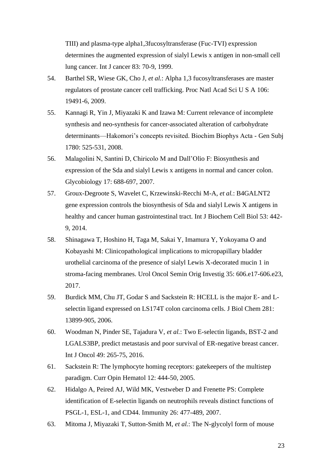TIII) and plasma-type alpha1,3fucosyltransferase (Fuc-TVI) expression determines the augmented expression of sialyl Lewis x antigen in non-small cell lung cancer. Int J cancer 83: 70-9, 1999.

- 54. Barthel SR, Wiese GK, Cho J, *et al.*: Alpha 1,3 fucosyltransferases are master regulators of prostate cancer cell trafficking. Proc Natl Acad Sci U S A 106: 19491-6, 2009.
- 55. Kannagi R, Yin J, Miyazaki K and Izawa M: Current relevance of incomplete synthesis and neo-synthesis for cancer-associated alteration of carbohydrate determinants—Hakomori's concepts revisited. Biochim Biophys Acta - Gen Subj 1780: 525-531, 2008.
- 56. Malagolini N, Santini D, Chiricolo M and Dall'Olio F: Biosynthesis and expression of the Sda and sialyl Lewis x antigens in normal and cancer colon. Glycobiology 17: 688-697, 2007.
- 57. Groux-Degroote S, Wavelet C, Krzewinski-Recchi M-A, *et al.*: B4GALNT2 gene expression controls the biosynthesis of Sda and sialyl Lewis X antigens in healthy and cancer human gastrointestinal tract. Int J Biochem Cell Biol 53: 442- 9, 2014.
- 58. Shinagawa T, Hoshino H, Taga M, Sakai Y, Imamura Y, Yokoyama O and Kobayashi M: Clinicopathological implications to micropapillary bladder urothelial carcinoma of the presence of sialyl Lewis X-decorated mucin 1 in stroma-facing membranes. Urol Oncol Semin Orig Investig 35: 606.e17-606.e23, 2017.
- 59. Burdick MM, Chu JT, Godar S and Sackstein R: HCELL is the major E- and Lselectin ligand expressed on LS174T colon carcinoma cells. J Biol Chem 281: 13899-905, 2006.
- 60. Woodman N, Pinder SE, Tajadura V, *et al.*: Two E-selectin ligands, BST-2 and LGALS3BP, predict metastasis and poor survival of ER-negative breast cancer. Int J Oncol 49: 265-75, 2016.
- 61. Sackstein R: The lymphocyte homing receptors: gatekeepers of the multistep paradigm. Curr Opin Hematol 12: 444-50, 2005.
- 62. Hidalgo A, Peired AJ, Wild MK, Vestweber D and Frenette PS: Complete identification of E-selectin ligands on neutrophils reveals distinct functions of PSGL-1, ESL-1, and CD44. Immunity 26: 477-489, 2007.
- 63. Mitoma J, Miyazaki T, Sutton-Smith M, *et al.*: The N-glycolyl form of mouse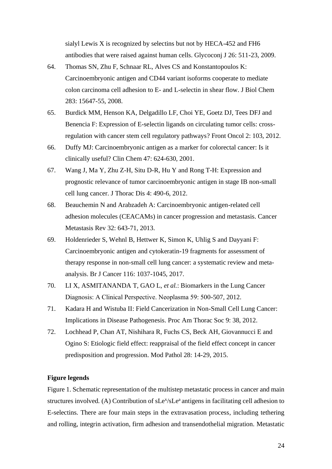sialyl Lewis X is recognized by selectins but not by HECA-452 and FH6 antibodies that were raised against human cells. Glycoconj J 26: 511-23, 2009.

- 64. Thomas SN, Zhu F, Schnaar RL, Alves CS and Konstantopoulos K: Carcinoembryonic antigen and CD44 variant isoforms cooperate to mediate colon carcinoma cell adhesion to E- and L-selectin in shear flow. J Biol Chem 283: 15647-55, 2008.
- 65. Burdick MM, Henson KA, Delgadillo LF, Choi YE, Goetz DJ, Tees DFJ and Benencia F: Expression of E-selectin ligands on circulating tumor cells: crossregulation with cancer stem cell regulatory pathways? Front Oncol 2: 103, 2012.
- 66. Duffy MJ: Carcinoembryonic antigen as a marker for colorectal cancer: Is it clinically useful? Clin Chem 47: 624-630, 2001.
- 67. Wang J, Ma Y, Zhu Z-H, Situ D-R, Hu Y and Rong T-H: Expression and prognostic relevance of tumor carcinoembryonic antigen in stage IB non-small cell lung cancer. J Thorac Dis 4: 490-6, 2012.
- 68. Beauchemin N and Arabzadeh A: Carcinoembryonic antigen-related cell adhesion molecules (CEACAMs) in cancer progression and metastasis. Cancer Metastasis Rev 32: 643-71, 2013.
- 69. Holdenrieder S, Wehnl B, Hettwer K, Simon K, Uhlig S and Dayyani F: Carcinoembryonic antigen and cytokeratin-19 fragments for assessment of therapy response in non-small cell lung cancer: a systematic review and metaanalysis. Br J Cancer 116: 1037-1045, 2017.
- 70. LI X, ASMITANANDA T, GAO L, *et al.*: Biomarkers in the Lung Cancer Diagnosis: A Clinical Perspective. Neoplasma 59: 500-507, 2012.
- 71. Kadara H and Wistuba II: Field Cancerization in Non-Small Cell Lung Cancer: Implications in Disease Pathogenesis. Proc Am Thorac Soc 9: 38, 2012.
- 72. Lochhead P, Chan AT, Nishihara R, Fuchs CS, Beck AH, Giovannucci E and Ogino S: Etiologic field effect: reappraisal of the field effect concept in cancer predisposition and progression. Mod Pathol 28: 14-29, 2015.

## **Figure legends**

Figure 1. Schematic representation of the multistep metastatic process in cancer and main structures involved. (A) Contribution of sLe<sup>x</sup>/sLe<sup>a</sup> antigens in facilitating cell adhesion to E-selectins*.* There are four main steps in the extravasation process, including tethering and rolling, integrin activation, firm adhesion and transendothelial migration. Metastatic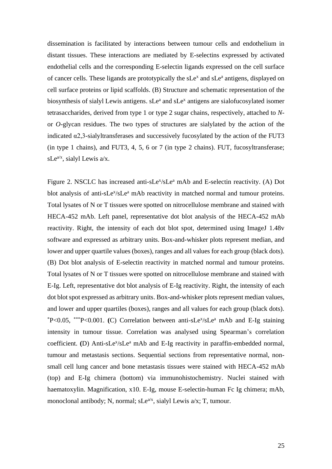dissemination is facilitated by interactions between tumour cells and endothelium in distant tissues. These interactions are mediated by E-selectins expressed by activated endothelial cells and the corresponding E-selectin ligands expressed on the cell surface of cancer cells. These ligands are prototypically the sLe<sup>x</sup> and sLe<sup>a</sup> antigens, displayed on cell surface proteins or lipid scaffolds. (B) Structure and schematic representation of the biosynthesis of sialyl Lewis antigens. sLe<sup>a</sup> and sLe<sup>x</sup> antigens are sialofucosylated isomer tetrasaccharides, derived from type 1 or type 2 sugar chains, respectively, attached to *N*or *O*-glycan residues. The two types of structures are sialylated by the action of the indicated α2,3-sialyltransferases and successively fucosylated by the action of the FUT3 (in type 1 chains), and FUT3, 4, 5, 6 or 7 (in type 2 chains). FUT, fucosyltransferase; sLe<sup>a/x</sup>, sialyl Lewis a/x.

Figure 2. NSCLC has increased anti-sLe<sup>x</sup>/sLe<sup>a</sup> mAb and E-selectin reactivity. (A) Dot blot analysis of anti-sLe<sup>x</sup>/sLe<sup>a</sup> mAb reactivity in matched normal and tumour proteins. Total lysates of N or T tissues were spotted on nitrocellulose membrane and stained with HECA-452 mAb. Left panel, representative dot blot analysis of the HECA-452 mAb reactivity. Right, the intensity of each dot blot spot, determined using ImageJ 1.48v software and expressed as arbitrary units. Box-and-whisker plots represent median, and lower and upper quartile values (boxes), ranges and all values for each group (black dots). (B) Dot blot analysis of E-selectin reactivity in matched normal and tumour proteins. Total lysates of N or T tissues were spotted on nitrocellulose membrane and stained with E-Ig. Left, representative dot blot analysis of E-Ig reactivity. Right, the intensity of each dot blot spot expressed as arbitrary units. Box-and-whisker plots represent median values, and lower and upper quartiles (boxes), ranges and all values for each group (black dots). \*P<0.05, \*\*\*P<0.001. **(**C) Correlation between anti-sLe<sup>x</sup> /sLe<sup>a</sup> mAb and E-Ig staining intensity in tumour tissue. Correlation was analysed using Spearman's correlation coefficient. (D) Anti-sLe<sup>x</sup>/sLe<sup>a</sup> mAb and E-Ig reactivity in paraffin-embedded normal, tumour and metastasis sections. Sequential sections from representative normal, nonsmall cell lung cancer and bone metastasis tissues were stained with HECA-452 mAb (top) and E-Ig chimera (bottom) via immunohistochemistry. Nuclei stained with haematoxylin. Magnification, x10. E-Ig, mouse E-selectin-human Fc Ig chimera; mAb, monoclonal antibody; N, normal;  $sLe^{a/x}$ , sialyl Lewis  $a/x$ ; T, tumour.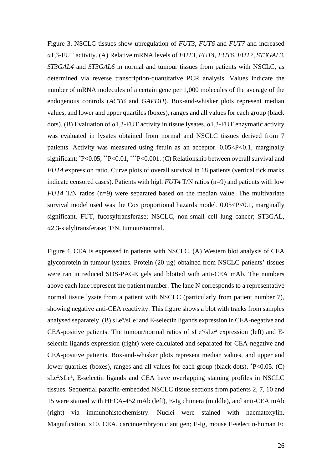Figure 3. NSCLC tissues show upregulation of *FUT3*, *FUT6* and *FUT7* and increased α1,3-FUT activity. (A) Relative mRNA levels of *FUT3*, *FUT4*, *FUT6*, *FUT7*, *ST3GAL3*, *ST3GAL4* and *ST3GAL6* in normal and tumour tissues from patients with NSCLC, as determined via reverse transcription-quantitative PCR analysis*.* Values indicate the number of mRNA molecules of a certain gene per 1,000 molecules of the average of the endogenous controls (*ACTB* and *GAPDH*). Box-and-whisker plots represent median values, and lower and upper quartiles (boxes), ranges and all values for each group (black dots). (B) Evaluation of  $\alpha$ 1,3-FUT activity in tissue lysates.  $\alpha$ 1,3-FUT enzymatic activity was evaluated in lysates obtained from normal and NSCLC tissues derived from 7 patients. Activity was measured using fetuin as an acceptor. 0.05<P<0.1, marginally significant;  ${}^*P<0.05$ ,  ${}^*P<0.01$ ,  ${}^{**}P<0.001$ . (C) Relationship between overall survival and *FUT4* expression ratio. Curve plots of overall survival in 18 patients (vertical tick marks indicate censored cases). Patients with high *FUT4* T/N ratios (n=9) and patients with low *FUT4* T/N ratios (n=9) were separated based on the median value. The multivariate survival model used was the Cox proportional hazards model.  $0.05 < P < 0.1$ , marginally significant. FUT, fucosyltransferase; NSCLC, non-small cell lung cancer; ST3GAL, α2,3-sialyltransferase; T/N, tumour/normal.

Figure 4. CEA is expressed in patients with NSCLC. (A) Western blot analysis of CEA glycoprotein in tumour lysates. Protein (20 µg) obtained from NSCLC patients' tissues were ran in reduced SDS-PAGE gels and blotted with anti-CEA mAb. The numbers above each lane represent the patient number. The lane N corresponds to a representative normal tissue lysate from a patient with NSCLC (particularly from patient number 7), showing negative anti-CEA reactivity. This figure shows a blot with tracks from samples analysed separately. (B) sLe<sup>x</sup>/sLe<sup>a</sup> and E-selectin ligands expression in CEA-negative and CEA-positive patients. The tumour/normal ratios of  $sLe^{x}/sLe^{a}$  expression (left) and Eselectin ligands expression (right) were calculated and separated for CEA-negative and CEA-positive patients. Box-and-whisker plots represent median values, and upper and lower quartiles (boxes), ranges and all values for each group (black dots).  $P<0.05$ . (C) sLe<sup>x</sup>/sLe<sup>a</sup>, E-selectin ligands and CEA have overlapping staining profiles in NSCLC tissues*.* Sequential paraffin-embedded NSCLC tissue sections from patients 2, 7, 10 and 15 were stained with HECA-452 mAb (left), E-Ig chimera (middle), and anti-CEA mAb (right) via immunohistochemistry. Nuclei were stained with haematoxylin. Magnification, x10. CEA, carcinoembryonic antigen; E-Ig, mouse E-selectin-human Fc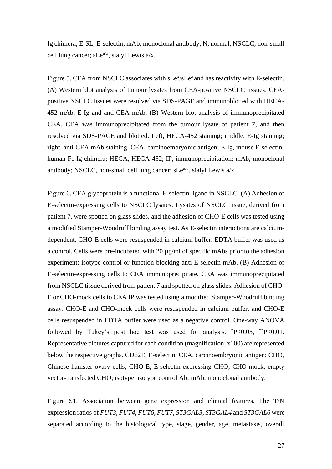Ig chimera; E-SL, E-selectin; mAb, monoclonal antibody; N, normal; NSCLC, non-small cell lung cancer; sLe<sup> $a/x$ </sup>, sialyl Lewis  $a/x$ .

Figure 5. CEA from NSCLC associates with sLe<sup>x</sup>/sLe<sup>a</sup> and has reactivity with E-selectin. (A) Western blot analysis of tumour lysates from CEA-positive NSCLC tissues. CEApositive NSCLC tissues were resolved via SDS-PAGE and immunoblotted with HECA-452 mAb, E-Ig and anti-CEA mAb. (B) Western blot analysis of immunoprecipitated CEA. CEA was immunoprecipitated from the tumour lysate of patient 7, and then resolved via SDS-PAGE and blotted. Left, HECA-452 staining; middle, E-Ig staining; right, anti-CEA mAb staining. CEA, carcinoembryonic antigen; E-Ig, mouse E-selectinhuman Fc Ig chimera; HECA, HECA-452; IP, immunoprecipitation; mAb, monoclonal antibody; NSCLC, non-small cell lung cancer;  $sLe^{a/x}$ , sialyl Lewis  $a/x$ .

Figure 6. CEA glycoprotein is a functional E-selectin ligand in NSCLC. (A) Adhesion of E-selectin-expressing cells to NSCLC lysates. Lysates of NSCLC tissue, derived from patient 7, were spotted on glass slides, and the adhesion of CHO-E cells was tested using a modified Stamper-Woodruff binding assay test. As E-selectin interactions are calciumdependent, CHO-E cells were resuspended in calcium buffer. EDTA buffer was used as a control. Cells were pre-incubated with 20 µg/ml of specific mAbs prior to the adhesion experiment; isotype control or function-blocking anti-E-selectin mAb. (B) Adhesion of E-selectin-expressing cells to CEA immunoprecipitate. CEA was immunoprecipitated from NSCLC tissue derived from patient 7 and spotted on glass slides. Adhesion of CHO-E or CHO-mock cells to CEA IP was tested using a modified Stamper-Woodruff binding assay. CHO-E and CHO-mock cells were resuspended in calcium buffer, and CHO-E cells resuspended in EDTA buffer were used as a negative control. One-way ANOVA followed by Tukey's post hoc test was used for analysis.  $P<0.05$ ,  $*P<0.01$ . Representative pictures captured for each condition (magnification, x100) are represented below the respective graphs. CD62E, E-selectin; CEA, carcinoembryonic antigen; CHO, Chinese hamster ovary cells; CHO-E, E-selectin-expressing CHO; CHO-mock, empty vector-transfected CHO; isotype, isotype control Ab; mAb, monoclonal antibody.

Figure S1. Association between gene expression and clinical features. The T/N expression ratios of *FUT3*, *FUT4*, *FUT6*, *FUT7*, *ST3GAL3*, *ST3GAL4* and *ST3GAL6* were separated according to the histological type, stage, gender, age, metastasis, overall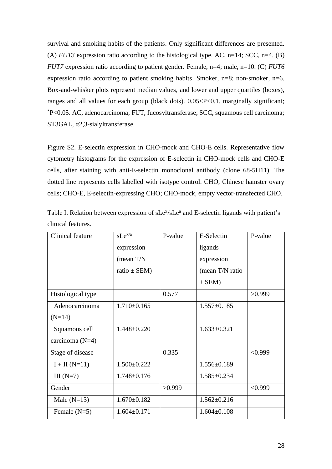survival and smoking habits of the patients. Only significant differences are presented. (A)  $FUT3$  expression ratio according to the histological type. AC, n=14; SCC, n=4. (B) *FUT7* expression ratio according to patient gender. Female, n=4; male, n=10. (C) *FUT6*  expression ratio according to patient smoking habits. Smoker, n=8; non-smoker, n=6. Box-and-whisker plots represent median values, and lower and upper quartiles (boxes), ranges and all values for each group (black dots).  $0.05 < P < 0.1$ , marginally significant; \*P<0.05. AC, adenocarcinoma; FUT, fucosyltransferase; SCC, squamous cell carcinoma; ST3GAL, α2,3-sialyltransferase.

Figure S2. E-selectin expression in CHO-mock and CHO-E cells. Representative flow cytometry histograms for the expression of E-selectin in CHO-mock cells and CHO-E cells, after staining with anti-E-selectin monoclonal antibody (clone 68-5H11). The dotted line represents cells labelled with isotype control. CHO, Chinese hamster ovary cells; CHO-E, E-selectin-expressing CHO; CHO-mock, empty vector-transfected CHO.

| Clinical feature  | $sLe^{x/a}$       | P-value | E-Selectin        | P-value |
|-------------------|-------------------|---------|-------------------|---------|
|                   | expression        |         | ligands           |         |
|                   | (mean $T/N$       |         | expression        |         |
|                   | ratio $\pm$ SEM)  |         | (mean T/N ratio   |         |
|                   |                   |         | $\pm$ SEM)        |         |
| Histological type |                   | 0.577   |                   | >0.999  |
| Adenocarcinoma    | $1.710\pm0.165$   |         | $1.557 \pm 0.185$ |         |
| $(N=14)$          |                   |         |                   |         |
| Squamous cell     | $1.448 \pm 0.220$ |         | $1.633 \pm 0.321$ |         |
| carcinoma $(N=4)$ |                   |         |                   |         |
| Stage of disease  |                   | 0.335   |                   | < 0.999 |
| $I + II (N=11)$   | $1.500 \pm 0.222$ |         | $1.556 \pm 0.189$ |         |
| III $(N=7)$       | $1.748 \pm 0.176$ |         | $1.585 \pm 0.234$ |         |
| Gender            |                   | >0.999  |                   | < 0.999 |
| Male $(N=13)$     | $1.670 \pm 0.182$ |         | $1.562 \pm 0.216$ |         |
| Female $(N=5)$    | $1.604 \pm 0.171$ |         | $1.604 \pm 0.108$ |         |

Table I. Relation between expression of sLe<sup>x</sup>/sLe<sup>a</sup> and E-selectin ligands with patient's clinical features.